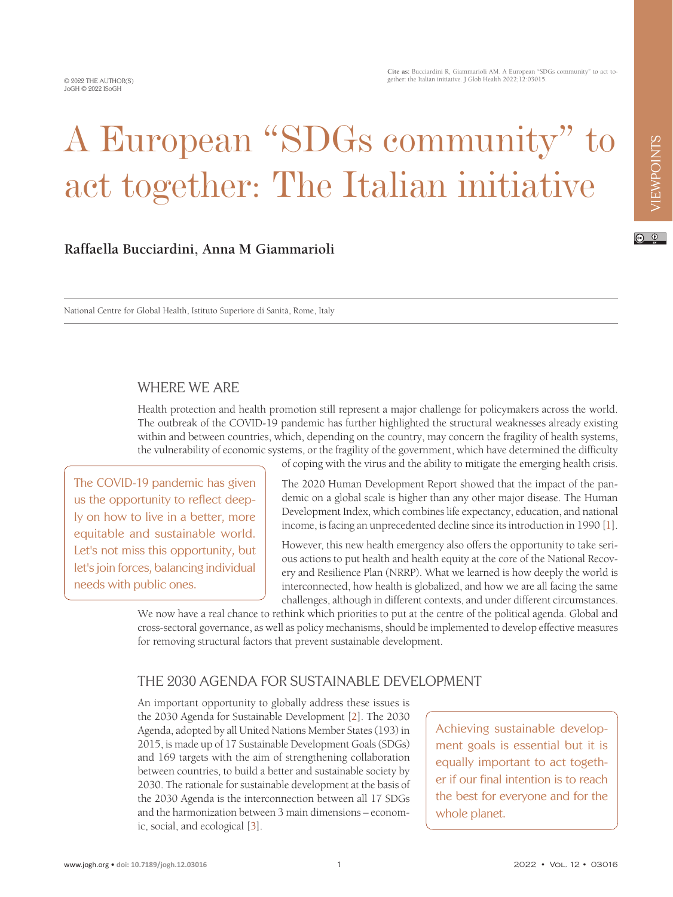# A European "SDGs community" to act together: The Italian initiative

### **Raffaella Bucciardini, Anna M Giammarioli**

National Centre for Global Health, Istituto Superiore di Sanità, Rome, Italy

### WHERE WE ARE

Health protection and health promotion still represent a major challenge for policymakers across the world. The outbreak of the COVID-19 pandemic has further highlighted the structural weaknesses already existing within and between countries, which, depending on the country, may concern the fragility of health systems, the vulnerability of economic systems, or the fragility of the government, which have determined the difficulty of coping with the virus and the ability to mitigate the emerging health crisis.

The COVID-19 pandemic has given us the opportunity to reflect deeply on how to live in a better, more equitable and sustainable world. Let's not miss this opportunity, but let's join forces, balancing individual needs with public ones.

The 2020 Human Development Report showed that the impact of the pandemic on a global scale is higher than any other major disease. The Human Development Index, which combines life expectancy, education, and national income, is facing an unprecedented decline since its introduction in 1990 [\[1](#page-2-0)].

However, this new health emergency also offers the opportunity to take serious actions to put health and health equity at the core of the National Recovery and Resilience Plan (NRRP). What we learned is how deeply the world is interconnected, how health is globalized, and how we are all facing the same challenges, although in different contexts, and under different circumstances.

We now have a real chance to rethink which priorities to put at the centre of the political agenda. Global and cross-sectoral governance, as well as policy mechanisms, should be implemented to develop effective measures for removing structural factors that prevent sustainable development.

# THE 2030 AGENDA FOR SUSTAINABLE DEVELOPMENT

An important opportunity to globally address these issues is the 2030 Agenda for Sustainable Development [\[2](#page-2-1)]. The 2030 Agenda, adopted by all United Nations Member States (193) in 2015, is made up of 17 Sustainable Development Goals (SDGs) and 169 targets with the aim of strengthening collaboration between countries, to build a better and sustainable society by 2030. The rationale for sustainable development at the basis of the 2030 Agenda is the interconnection between all 17 SDGs and the harmonization between 3 main dimensions – economic, social, and ecological [[3\]](#page-2-2).

Achieving sustainable development goals is essential but it is equally important to act together if our final intention is to reach the best for everyone and for the whole planet.

 $\odot$   $\odot$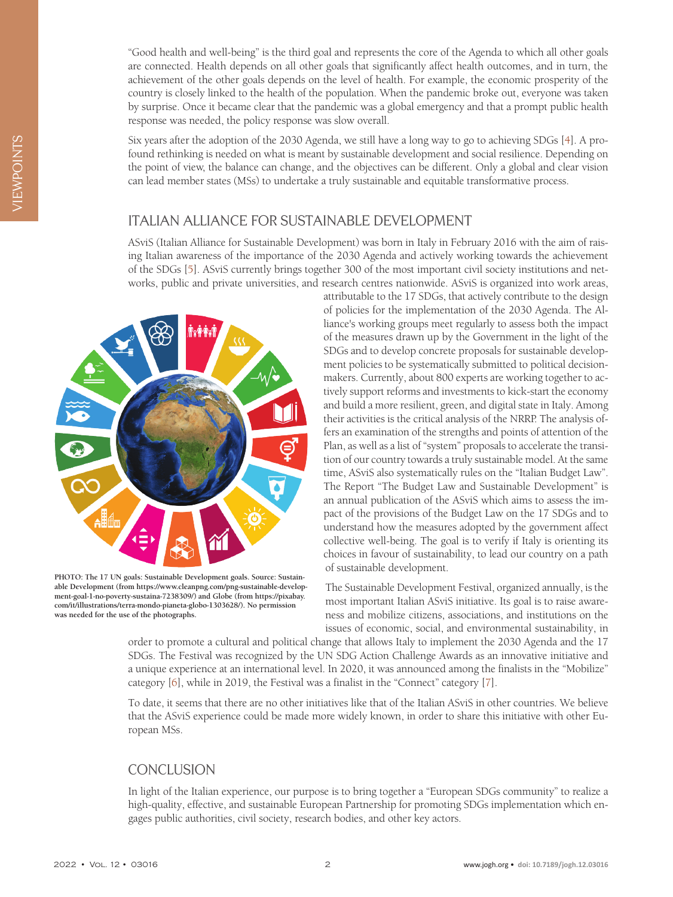"Good health and well-being" is the third goal and represents the core of the Agenda to which all other goals are connected. Health depends on all other goals that significantly affect health outcomes, and in turn, the achievement of the other goals depends on the level of health. For example, the economic prosperity of the country is closely linked to the health of the population. When the pandemic broke out, everyone was taken by surprise. Once it became clear that the pandemic was a global emergency and that a prompt public health response was needed, the policy response was slow overall.

Six years after the adoption of the 2030 Agenda, we still have a long way to go to achieving SDGs [[4\]](#page-2-3). A profound rethinking is needed on what is meant by sustainable development and social resilience. Depending on the point of view, the balance can change, and the objectives can be different. Only a global and clear vision can lead member states (MSs) to undertake a truly sustainable and equitable transformative process.

## ITALIAN ALLIANCE FOR SUSTAINABLE DEVELOPMENT

ASviS (Italian Alliance for Sustainable Development) was born in Italy in February 2016 with the aim of raising Italian awareness of the importance of the 2030 Agenda and actively working towards the achievement of the SDGs [\[5](#page-2-4)]. ASviS currently brings together 300 of the most important civil society institutions and networks, public and private universities, and research centres nationwide. ASviS is organized into work areas,



**PHOTO: The 17 UN goals: Sustainable Development goals. Source: Sustainable Development (from https://www.cleanpng.com/png-sustainable-development-goal-1-no-poverty-sustaina-7238309/) and Globe (from https://pixabay. com/it/illustrations/terra-mondo-pianeta-globo-1303628/). No permission was needed for the use of the photographs.**

attributable to the 17 SDGs, that actively contribute to the design of policies for the implementation of the 2030 Agenda. The Alliance's working groups meet regularly to assess both the impact of the measures drawn up by the Government in the light of the SDGs and to develop concrete proposals for sustainable development policies to be systematically submitted to political decisionmakers. Currently, about 800 experts are working together to actively support reforms and investments to kick-start the economy and build a more resilient, green, and digital state in Italy. Among their activities is the critical analysis of the NRRP. The analysis offers an examination of the strengths and points of attention of the Plan, as well as a list of "system" proposals to accelerate the transition of our country towards a truly sustainable model. At the same time, ASviS also systematically rules on the "Italian Budget Law". The Report "The Budget Law and Sustainable Development" is an annual publication of the ASviS which aims to assess the impact of the provisions of the Budget Law on the 17 SDGs and to understand how the measures adopted by the government affect collective well-being. The goal is to verify if Italy is orienting its choices in favour of sustainability, to lead our country on a path of sustainable development.

The Sustainable Development Festival, organized annually, is the most important Italian ASviS initiative. Its goal is to raise awareness and mobilize citizens, associations, and institutions on the issues of economic, social, and environmental sustainability, in

order to promote a cultural and political change that allows Italy to implement the 2030 Agenda and the 17 SDGs. The Festival was recognized by the UN SDG Action Challenge Awards as an innovative initiative and a unique experience at an international level. In 2020, it was announced among the finalists in the "Mobilize" category [[6\]](#page-2-5), while in 2019, the Festival was a finalist in the "Connect" category [[7\]](#page-2-6).

To date, it seems that there are no other initiatives like that of the Italian ASviS in other countries. We believe that the ASviS experience could be made more widely known, in order to share this initiative with other European MSs.

# **CONCLUSION**

In light of the Italian experience, our purpose is to bring together a "European SDGs community" to realize a high-quality, effective, and sustainable European Partnership for promoting SDGs implementation which engages public authorities, civil society, research bodies, and other key actors.